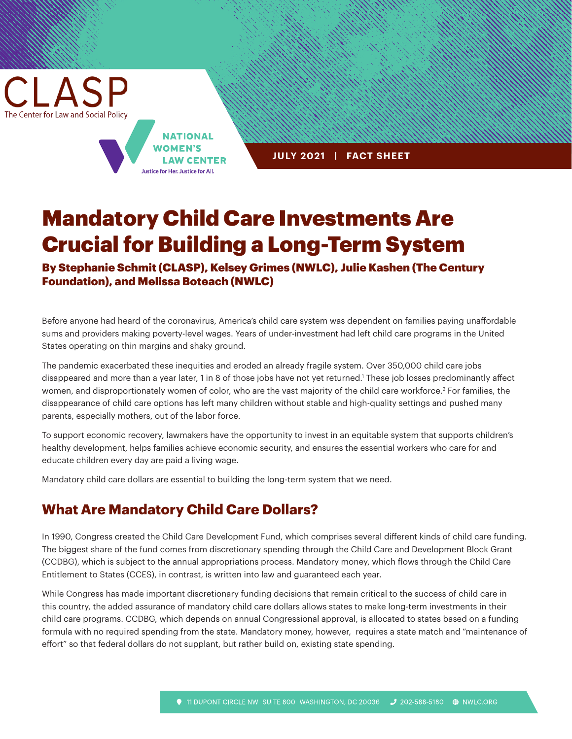CLASP The Center for Law and Social Policy

> **NATIONAL WOMEN'S LAW CENTER** Justice for Her. Justice for All.

**JULY 2021 | FACT SHEET**

# Mandatory Child Care Investments Are Crucial for Building a Long-Term System

By Stephanie Schmit (CLASP), Kelsey Grimes (NWLC), Julie Kashen (The Century Foundation), and Melissa Boteach (NWLC)

Before anyone had heard of the coronavirus, America's child care system was dependent on families paying unaffordable sums and providers making poverty-level wages. Years of under-investment had left child care programs in the United States operating on thin margins and shaky ground.

The pandemic exacerbated these inequities and eroded an already fragile system. Over 350,000 child care jobs disappeared and more than a year later, 1 in 8 of those jobs have not yet returned.1 These job losses predominantly affect women, and disproportionately women of color, who are the vast majority of the child care workforce.2 For families, the disappearance of child care options has left many children without stable and high-quality settings and pushed many parents, especially mothers, out of the labor force.

To support economic recovery, lawmakers have the opportunity to invest in an equitable system that supports children's healthy development, helps families achieve economic security, and ensures the essential workers who care for and educate children every day are paid a living wage.

Mandatory child care dollars are essential to building the long-term system that we need.

### **What Are Mandatory Child Care Dollars?**

In 1990, Congress created the Child Care Development Fund, which comprises several different kinds of child care funding. The biggest share of the fund comes from discretionary spending through the Child Care and Development Block Grant (CCDBG), which is subject to the annual appropriations process. Mandatory money, which flows through the Child Care Entitlement to States (CCES), in contrast, is written into law and guaranteed each year.

While Congress has made important discretionary funding decisions that remain critical to the success of child care in this country, the added assurance of mandatory child care dollars allows states to make long-term investments in their child care programs. CCDBG, which depends on annual Congressional approval, is allocated to states based on a funding formula with no required spending from the state. Mandatory money, however, requires a state match and "maintenance of effort" so that federal dollars do not supplant, but rather build on, existing state spending.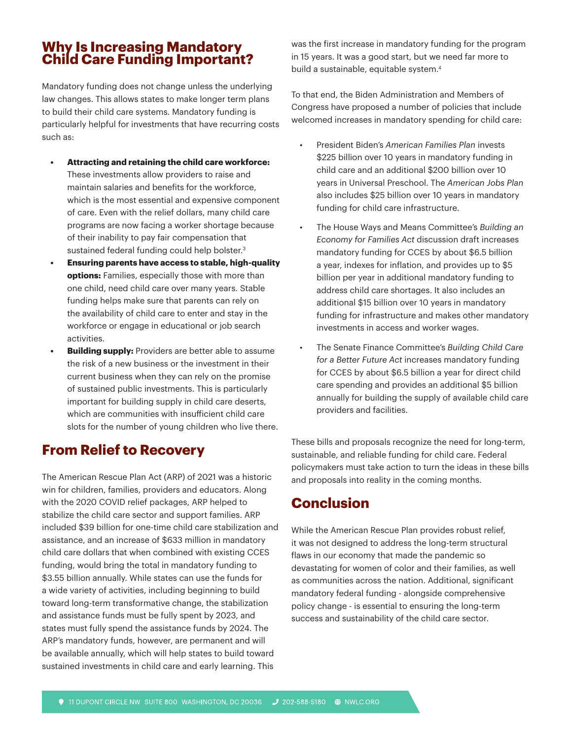#### **Why Is Increasing Mandatory Child Care Funding Important?**

Mandatory funding does not change unless the underlying law changes. This allows states to make longer term plans to build their child care systems. Mandatory funding is particularly helpful for investments that have recurring costs such as:

- **• Attracting and retaining the child care workforce:**  These investments allow providers to raise and maintain salaries and benefits for the workforce, which is the most essential and expensive component of care. Even with the relief dollars, many child care programs are now facing a worker shortage because of their inability to pay fair compensation that sustained federal funding could help bolster.3
- **• Ensuring parents have access to stable, high-quality options:** Families, especially those with more than one child, need child care over many years. Stable funding helps make sure that parents can rely on the availability of child care to enter and stay in the workforce or engage in educational or job search activities.
- **Building supply:** Providers are better able to assume the risk of a new business or the investment in their current business when they can rely on the promise of sustained public investments. This is particularly important for building supply in child care deserts, which are communities with insufficient child care slots for the number of young children who live there.

## **From Relief to Recovery**

The American Rescue Plan Act (ARP) of 2021 was a historic win for children, families, providers and educators. Along with the 2020 COVID relief packages, ARP helped to stabilize the child care sector and support families. ARP included \$39 billion for one-time child care stabilization and assistance, and an increase of \$633 million in mandatory child care dollars that when combined with existing CCES funding, would bring the total in mandatory funding to \$3.55 billion annually. While states can use the funds for a wide variety of activities, including beginning to build toward long-term transformative change, the stabilization and assistance funds must be fully spent by 2023, and states must fully spend the assistance funds by 2024. The ARP's mandatory funds, however, are permanent and will be available annually, which will help states to build toward sustained investments in child care and early learning. This

was the first increase in mandatory funding for the program in 15 years. It was a good start, but we need far more to build a sustainable, equitable system.<sup>4</sup>

To that end, the Biden Administration and Members of Congress have proposed a number of policies that include welcomed increases in mandatory spending for child care:

- President Biden's *American Families Plan* invests \$225 billion over 10 years in mandatory funding in child care and an additional \$200 billion over 10 years in Universal Preschool. The *American Jobs Plan* also includes \$25 billion over 10 years in mandatory funding for child care infrastructure.
- The House Ways and Means Committee's *Building an Economy for Families Act* discussion draft increases mandatory funding for CCES by about \$6.5 billion a year, indexes for inflation, and provides up to \$5 billion per year in additional mandatory funding to address child care shortages. It also includes an additional \$15 billion over 10 years in mandatory funding for infrastructure and makes other mandatory investments in access and worker wages.
- The Senate Finance Committee's *Building Child Care for a Better Future Act* increases mandatory funding for CCES by about \$6.5 billion a year for direct child care spending and provides an additional \$5 billion annually for building the supply of available child care providers and facilities.

These bills and proposals recognize the need for long-term, sustainable, and reliable funding for child care. Federal policymakers must take action to turn the ideas in these bills and proposals into reality in the coming months.

## **Conclusion**

While the American Rescue Plan provides robust relief, it was not designed to address the long-term structural flaws in our economy that made the pandemic so devastating for women of color and their families, as well as communities across the nation. Additional, significant mandatory federal funding - alongside comprehensive policy change - is essential to ensuring the long-term success and sustainability of the child care sector.